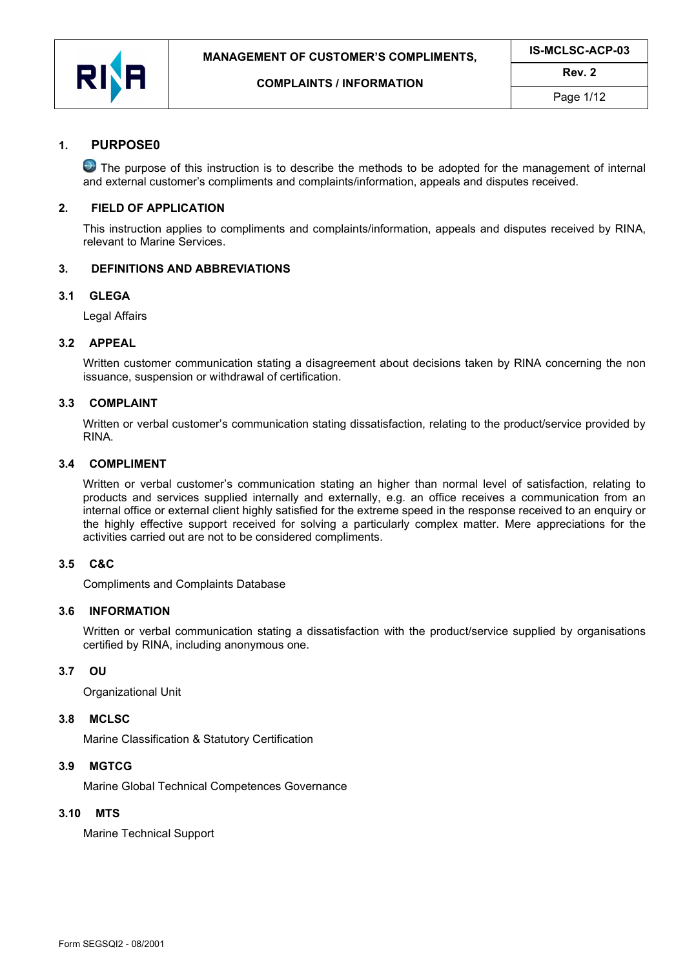

## 1. PURPOSE0

**O** The purpose of this instruction is to describe the methods to be adopted for the management of internal and external customer's compliments and complaints/information, appeals and disputes received.

#### 2. FIELD OF APPLICATION

This instruction applies to compliments and complaints/information, appeals and disputes received by RINA, relevant to Marine Services.

#### 3. DEFINITIONS AND ABBREVIATIONS

#### 3.1 GLEGA

Legal Affairs

#### 3.2 APPEAL

Written customer communication stating a disagreement about decisions taken by RINA concerning the non issuance, suspension or withdrawal of certification.

#### 3.3 COMPLAINT

Written or verbal customer's communication stating dissatisfaction, relating to the product/service provided by RINA.

#### 3.4 COMPLIMENT

Written or verbal customer's communication stating an higher than normal level of satisfaction, relating to products and services supplied internally and externally, e.g. an office receives a communication from an internal office or external client highly satisfied for the extreme speed in the response received to an enquiry or the highly effective support received for solving a particularly complex matter. Mere appreciations for the activities carried out are not to be considered compliments.

#### 3.5 C&C

Compliments and Complaints Database

### 3.6 INFORMATION

Written or verbal communication stating a dissatisfaction with the product/service supplied by organisations certified by RINA, including anonymous one.

#### 3.7 OU

Organizational Unit

#### 3.8 MCLSC

Marine Classification & Statutory Certification

#### 3.9 MGTCG

Marine Global Technical Competences Governance

# 3.10 MTS

Marine Technical Support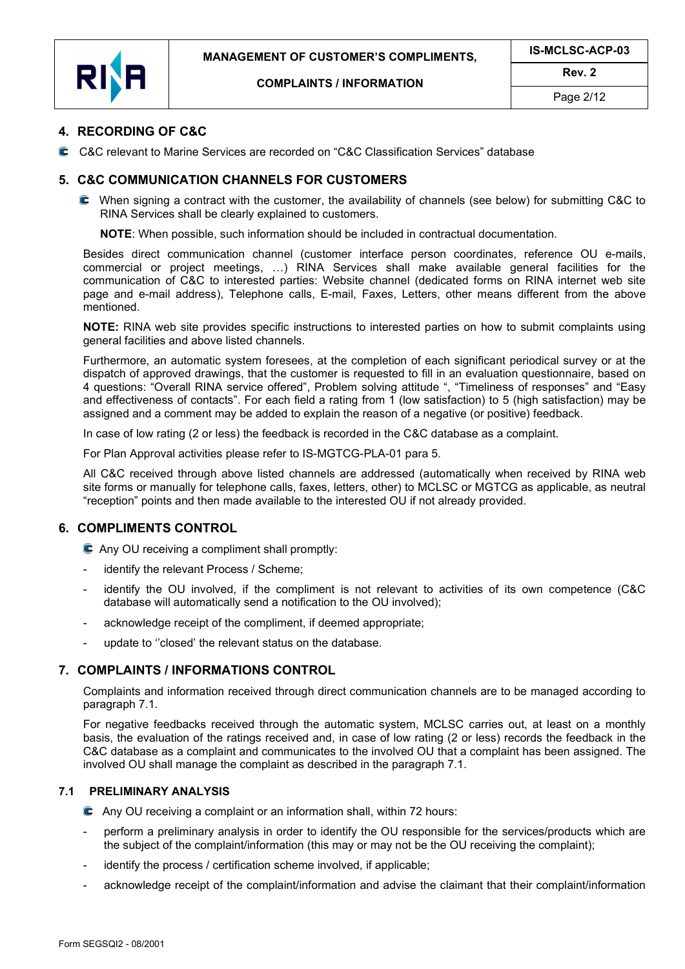



Page 2/12

## 4. RECORDING OF C&C

C&C relevant to Marine Services are recorded on "C&C Classification Services" database

### 5. C&C COMMUNICATION CHANNELS FOR CUSTOMERS

 When signing a contract with the customer, the availability of channels (see below) for submitting C&C to RINA Services shall be clearly explained to customers.

NOTE: When possible, such information should be included in contractual documentation.

Besides direct communication channel (customer interface person coordinates, reference OU e-mails, commercial or project meetings, …) RINA Services shall make available general facilities for the communication of C&C to interested parties: Website channel (dedicated forms on RINA internet web site page and e-mail address), Telephone calls, E-mail, Faxes, Letters, other means different from the above mentioned.

NOTE: RINA web site provides specific instructions to interested parties on how to submit complaints using general facilities and above listed channels.

Furthermore, an automatic system foresees, at the completion of each significant periodical survey or at the dispatch of approved drawings, that the customer is requested to fill in an evaluation questionnaire, based on 4 questions: "Overall RINA service offered", Problem solving attitude ", "Timeliness of responses" and "Easy and effectiveness of contacts". For each field a rating from 1 (low satisfaction) to 5 (high satisfaction) may be assigned and a comment may be added to explain the reason of a negative (or positive) feedback.

In case of low rating (2 or less) the feedback is recorded in the C&C database as a complaint.

For Plan Approval activities please refer to IS-MGTCG-PLA-01 para 5.

All C&C received through above listed channels are addressed (automatically when received by RINA web site forms or manually for telephone calls, faxes, letters, other) to MCLSC or MGTCG as applicable, as neutral "reception" points and then made available to the interested OU if not already provided.

# 6. COMPLIMENTS CONTROL

Any OU receiving a compliment shall promptly:

- identify the relevant Process / Scheme;
- identify the OU involved, if the compliment is not relevant to activities of its own competence (C&C database will automatically send a notification to the OU involved);
- acknowledge receipt of the compliment, if deemed appropriate;
- update to "closed' the relevant status on the database.

# 7. COMPLAINTS / INFORMATIONS CONTROL

Complaints and information received through direct communication channels are to be managed according to paragraph 7.1.

For negative feedbacks received through the automatic system, MCLSC carries out, at least on a monthly basis, the evaluation of the ratings received and, in case of low rating (2 or less) records the feedback in the C&C database as a complaint and communicates to the involved OU that a complaint has been assigned. The involved OU shall manage the complaint as described in the paragraph 7.1.

### 7.1 PRELIMINARY ANALYSIS

- Any OU receiving a complaint or an information shall, within 72 hours:
- perform a preliminary analysis in order to identify the OU responsible for the services/products which are the subject of the complaint/information (this may or may not be the OU receiving the complaint);
- identify the process / certification scheme involved, if applicable:
- acknowledge receipt of the complaint/information and advise the claimant that their complaint/information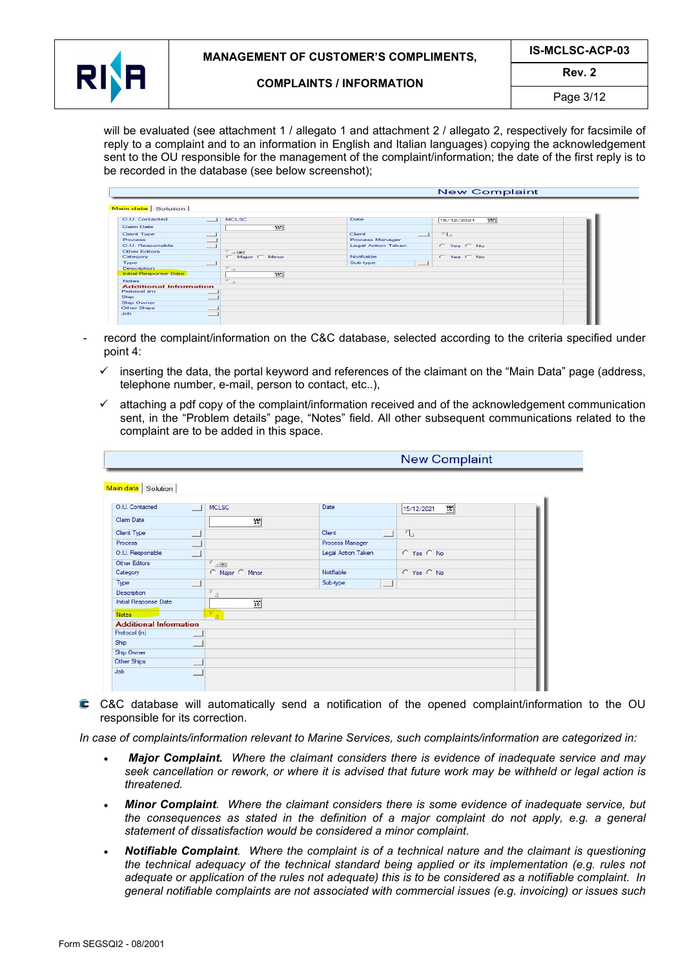

## Rev. 2

Page 3/12

will be evaluated (see attachment 1 / allegato 1 and attachment 2 / allegato 2, respectively for facsimile of reply to a complaint and to an information in English and Italian languages) copying the acknowledgement sent to the OU responsible for the management of the complaint/information; the date of the first reply is to be recorded in the database (see below screenshot);

|                                           |                 |                                      | <b>New Complaint</b> |  |
|-------------------------------------------|-----------------|--------------------------------------|----------------------|--|
|                                           |                 |                                      |                      |  |
| Main data Solution                        |                 |                                      |                      |  |
| O.U. Contacted<br>$-1$                    | <b>MCLSC</b>    | Date                                 | 15<br>15/12/2021     |  |
| Claim Date                                | 15              |                                      |                      |  |
| Client Type<br><b>District</b>            |                 | Client<br>$-1$                       | $T_{1n}$             |  |
| <b>TELESCO</b><br>Process                 |                 | Process Manager                      |                      |  |
| O.U. Responsible<br>$-1$                  |                 | Legal Action Taken                   | $C$ Yes $C$ No.      |  |
| $\mathbb{R}^n$<br>Other Editors           | $-1$ (see ).    |                                      |                      |  |
| Category                                  | C Major C Minor | Notifiable                           | C Yes C No           |  |
| Type<br><b>CONTRACT</b>                   |                 | Sub-type<br>$\overline{\phantom{a}}$ |                      |  |
| $\mathbb{R}^n$<br><b>Description</b>      | $\Box$          |                                      |                      |  |
| Initial Response Date                     | $x \in I$       |                                      |                      |  |
| $\sqrt{2}$<br><b>Notes</b>                | $-10^{-7}$      |                                      |                      |  |
| <b>Additional Information</b>             |                 |                                      |                      |  |
| Protocol (in)<br>$\overline{\phantom{0}}$ |                 |                                      |                      |  |
| Ship<br><b>Contract</b>                   |                 |                                      |                      |  |
| Ship Owner                                |                 |                                      |                      |  |
| Other Ships<br>$\overline{\phantom{0}}$   |                 |                                      |                      |  |
| Job<br>$\sim$                             |                 |                                      |                      |  |

- record the complaint/information on the C&C database, selected according to the criteria specified under point 4:
	- $\checkmark$  inserting the data, the portal keyword and references of the claimant on the "Main Data" page (address, telephone number, e-mail, person to contact, etc..),
	- $\checkmark$  attaching a pdf copy of the complaint/information received and of the acknowledgement communication sent, in the "Problem details" page, "Notes" field. All other subsequent communications related to the complaint are to be added in this space.

|                                                     |                    |        | <b>New Complaint</b> |
|-----------------------------------------------------|--------------------|--------|----------------------|
|                                                     |                    |        |                      |
| Main data   Solution                                |                    |        |                      |
| O.U. Contacted<br><b>MCLSC</b><br><b>In</b>         | Date               |        | 16<br>15/12/2021     |
| Claim Date                                          | $\overline{16}$    |        |                      |
| Client Type<br>E                                    | Client             | $\Box$ | $r_{\parallel}$      |
| Process<br>L.                                       | Process Manager    |        |                      |
| O.U. Responsible<br><b>T</b>                        | Legal Action Taken |        | C Yes C No           |
| $\Gamma$<br>Other Editors<br>$\mathbb{R}$           |                    |        |                      |
| C Major C Minor<br>Category                         | Notifiable         |        | C Yes C No           |
| Type                                                | Sub-type           | 匚      |                      |
| $\mathbb{F}$<br>Description<br>$\Box$               |                    |        |                      |
| Initial Response Date                               | $\overline{16}$    |        |                      |
| $\mathbb{F}^{\mathbb{Z}}$<br><b>Notes</b><br>$\Box$ |                    |        |                      |
| <b>Additional Information</b>                       |                    |        |                      |
| Protocol (in)                                       |                    |        |                      |
| Ship                                                |                    |        |                      |
| Ship Owner                                          |                    |        |                      |
| Other Ships<br>L                                    |                    |        |                      |
| Job<br><b>CONTRACTOR</b>                            |                    |        |                      |

 C&C database will automatically send a notification of the opened complaint/information to the OU responsible for its correction.

In case of complaints/information relevant to Marine Services, such complaints/information are categorized in:

- Major Complaint. Where the claimant considers there is evidence of inadequate service and may seek cancellation or rework, or where it is advised that future work may be withheld or legal action is threatened.
- Minor Complaint. Where the claimant considers there is some evidence of inadequate service, but the consequences as stated in the definition of a major complaint do not apply, e.g. a general statement of dissatisfaction would be considered a minor complaint.
- Notifiable Complaint. Where the complaint is of a technical nature and the claimant is questioning the technical adequacy of the technical standard being applied or its implementation (e.g. rules not adequate or application of the rules not adequate) this is to be considered as a notifiable complaint. In general notifiable complaints are not associated with commercial issues (e.g. invoicing) or issues such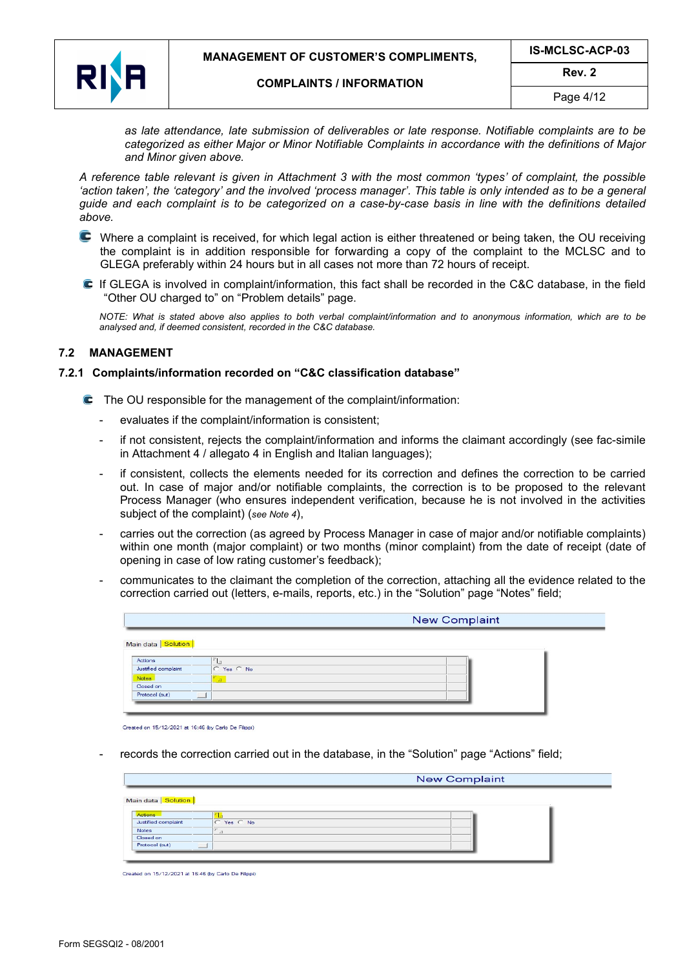

as late attendance, late submission of deliverables or late response. Notifiable complaints are to be categorized as either Major or Minor Notifiable Complaints in accordance with the definitions of Major and Minor given above.

A reference table relevant is given in Attachment 3 with the most common 'types' of complaint, the possible 'action taken', the 'category' and the involved 'process manager'. This table is only intended as to be a general guide and each complaint is to be categorized on a case-by-case basis in line with the definitions detailed above.

- Where a complaint is received, for which legal action is either threatened or being taken, the OU receiving the complaint is in addition responsible for forwarding a copy of the complaint to the MCLSC and to GLEGA preferably within 24 hours but in all cases not more than 72 hours of receipt.
- If GLEGA is involved in complaint/information, this fact shall be recorded in the C&C database, in the field "Other OU charged to" on "Problem details" page.

NOTE: What is stated above also applies to both verbal complaint/information and to anonymous information, which are to be analysed and, if deemed consistent, recorded in the C&C database.

#### 7.2 MANAGEMENT

### 7.2.1 Complaints/information recorded on "C&C classification database"

- The OU responsible for the management of the complaint/information:
	- evaluates if the complaint/information is consistent;
	- if not consistent, rejects the complaint/information and informs the claimant accordingly (see fac-simile in Attachment 4 / allegato 4 in English and Italian languages);
	- if consistent, collects the elements needed for its correction and defines the correction to be carried out. In case of major and/or notifiable complaints, the correction is to be proposed to the relevant Process Manager (who ensures independent verification, because he is not involved in the activities subject of the complaint) (see Note 4).
	- carries out the correction (as agreed by Process Manager in case of major and/or notifiable complaints) within one month (major complaint) or two months (minor complaint) from the date of receipt (date of opening in case of low rating customer's feedback);
	- communicates to the claimant the completion of the correction, attaching all the evidence related to the correction carried out (letters, e-mails, reports, etc.) in the "Solution" page "Notes" field;

|                      |            | <b>New Complaint</b> |
|----------------------|------------|----------------------|
| Main data   Solution |            |                      |
| Actions              |            |                      |
| Justified complaint  | C Yes C No |                      |
| <b>Notes</b>         | ⊣          |                      |
| Closed on            |            |                      |
|                      |            |                      |

Created on 15/12/2021 at 16:46 (by Carlo De Filippi)

records the correction carried out in the database, in the "Solution" page "Actions" field;

|                      |            | <b>New Complaint</b> |
|----------------------|------------|----------------------|
| Main data   Solution |            |                      |
| Actions              |            |                      |
| Justified complaint  | C Yes C No |                      |
| Notes                |            |                      |
|                      |            |                      |
| Closed on            |            |                      |

Created on 15/12/2021 at 16:46 (by Carlo De Filippi)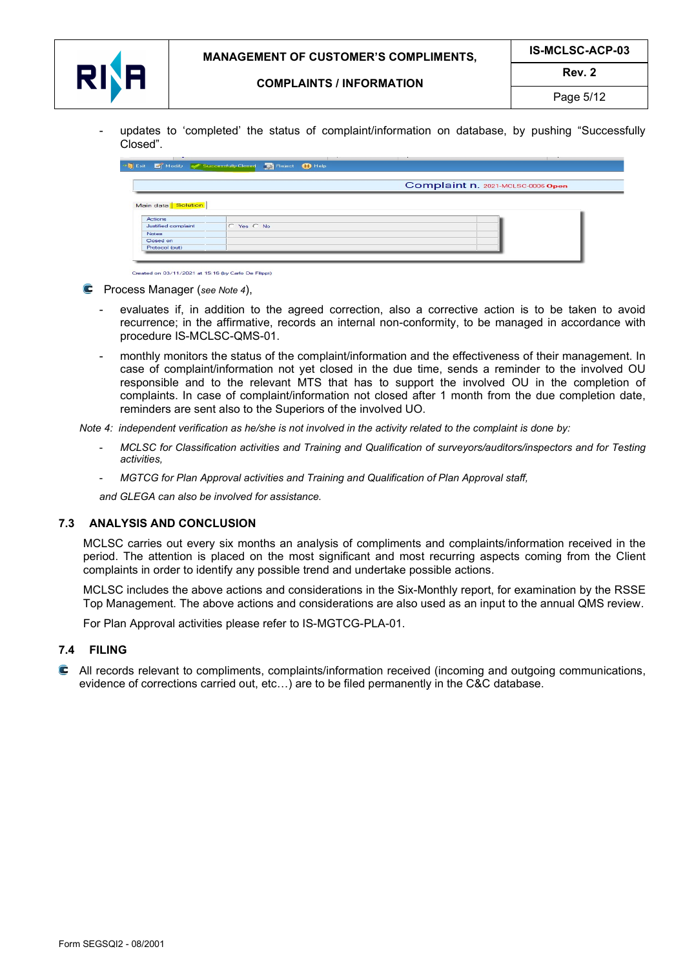

- updates to 'completed' the status of complaint/information on database, by pushing "Successfully Closed".

|                      |                | Complaint n. 2021-MCLSC-0006 Open |
|----------------------|----------------|-----------------------------------|
|                      |                |                                   |
| Main data   Solution |                |                                   |
| Actions              |                |                                   |
| Justified complaint  | $C$ Yes $C$ No |                                   |
| <b>Notes</b>         |                |                                   |
| Closed on            |                |                                   |

Created on 03/11/2021 at 15:16 (by Carlo De Filippi)

- **C** Process Manager (see Note 4),
	- evaluates if, in addition to the agreed correction, also a corrective action is to be taken to avoid recurrence; in the affirmative, records an internal non-conformity, to be managed in accordance with procedure IS-MCLSC-QMS-01.
	- monthly monitors the status of the complaint/information and the effectiveness of their management. In case of complaint/information not yet closed in the due time, sends a reminder to the involved OU responsible and to the relevant MTS that has to support the involved OU in the completion of complaints. In case of complaint/information not closed after 1 month from the due completion date, reminders are sent also to the Superiors of the involved UO.

Note 4: independent verification as he/she is not involved in the activity related to the complaint is done by:

- MCLSC for Classification activities and Training and Qualification of surveyors/auditors/inspectors and for Testing activities,
- MGTCG for Plan Approval activities and Training and Qualification of Plan Approval staff,

and GLEGA can also be involved for assistance.

### 7.3 ANALYSIS AND CONCLUSION

MCLSC carries out every six months an analysis of compliments and complaints/information received in the period. The attention is placed on the most significant and most recurring aspects coming from the Client complaints in order to identify any possible trend and undertake possible actions.

MCLSC includes the above actions and considerations in the Six-Monthly report, for examination by the RSSE Top Management. The above actions and considerations are also used as an input to the annual QMS review.

For Plan Approval activities please refer to IS-MGTCG-PLA-01.

### 7.4 FILING

 All records relevant to compliments, complaints/information received (incoming and outgoing communications, evidence of corrections carried out, etc…) are to be filed permanently in the C&C database.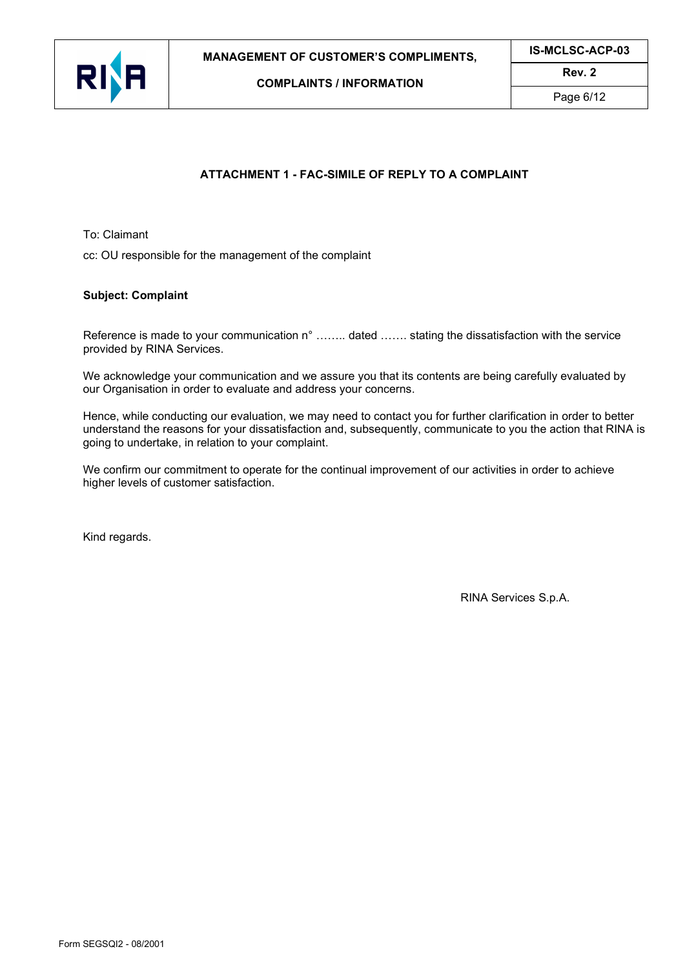

IS-MCLSC-ACP-03 Rev. 2



COMPLAINTS / INFORMATION

Page 6/12

# ATTACHMENT 1 - FAC-SIMILE OF REPLY TO A COMPLAINT

To: Claimant

cc: OU responsible for the management of the complaint

### Subject: Complaint

Reference is made to your communication n° ........ dated ....... stating the dissatisfaction with the service provided by RINA Services.

We acknowledge your communication and we assure you that its contents are being carefully evaluated by our Organisation in order to evaluate and address your concerns.

Hence, while conducting our evaluation, we may need to contact you for further clarification in order to better understand the reasons for your dissatisfaction and, subsequently, communicate to you the action that RINA is going to undertake, in relation to your complaint.

We confirm our commitment to operate for the continual improvement of our activities in order to achieve higher levels of customer satisfaction.

Kind regards.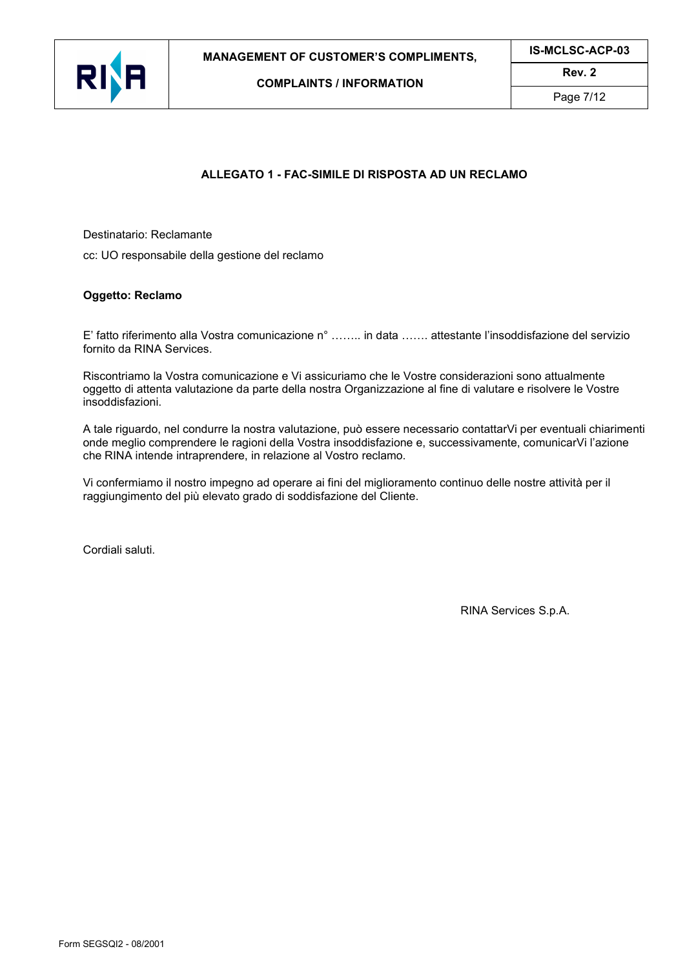



Page 7/12

# ALLEGATO 1 - FAC-SIMILE DI RISPOSTA AD UN RECLAMO

Destinatario: Reclamante

cc: UO responsabile della gestione del reclamo

## Oggetto: Reclamo

E' fatto riferimento alla Vostra comunicazione n° …….. in data ……. attestante l'insoddisfazione del servizio fornito da RINA Services.

Riscontriamo la Vostra comunicazione e Vi assicuriamo che le Vostre considerazioni sono attualmente oggetto di attenta valutazione da parte della nostra Organizzazione al fine di valutare e risolvere le Vostre insoddisfazioni.

A tale riguardo, nel condurre la nostra valutazione, può essere necessario contattarVi per eventuali chiarimenti onde meglio comprendere le ragioni della Vostra insoddisfazione e, successivamente, comunicarVi l'azione che RINA intende intraprendere, in relazione al Vostro reclamo.

Vi confermiamo il nostro impegno ad operare ai fini del miglioramento continuo delle nostre attività per il raggiungimento del più elevato grado di soddisfazione del Cliente.

Cordiali saluti.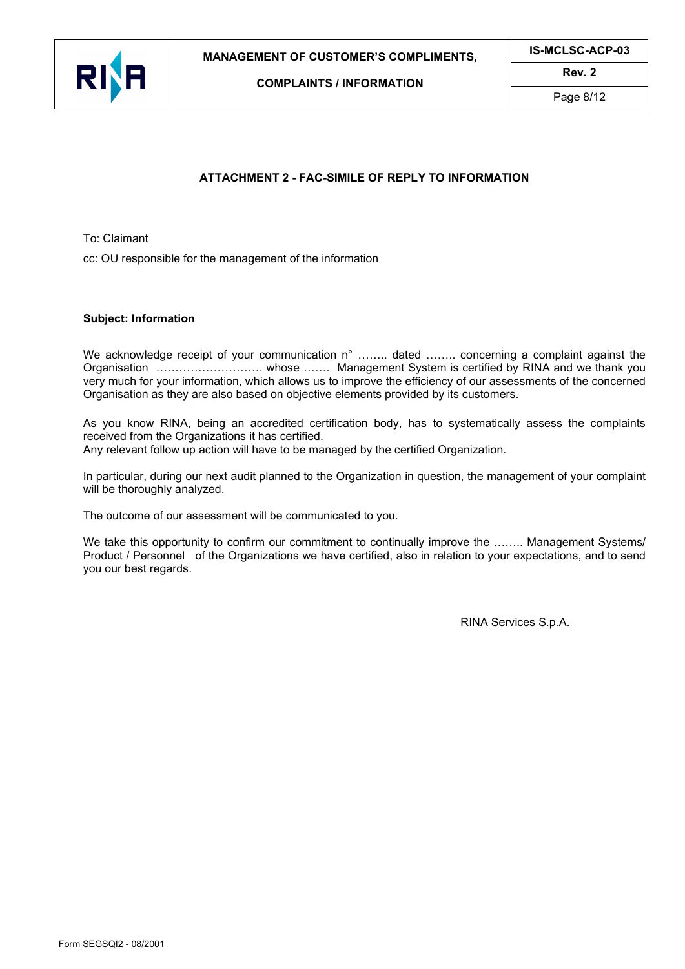



Page 8/12

# ATTACHMENT 2 - FAC-SIMILE OF REPLY TO INFORMATION

To: Claimant

cc: OU responsible for the management of the information

#### Subject: Information

We acknowledge receipt of your communication n° ........ dated ........ concerning a complaint against the Organisation ………………………. whose ……. Management System is certified by RINA and we thank you very much for your information, which allows us to improve the efficiency of our assessments of the concerned Organisation as they are also based on objective elements provided by its customers.

As you know RINA, being an accredited certification body, has to systematically assess the complaints received from the Organizations it has certified.

Any relevant follow up action will have to be managed by the certified Organization.

In particular, during our next audit planned to the Organization in question, the management of your complaint will be thoroughly analyzed.

The outcome of our assessment will be communicated to you.

We take this opportunity to confirm our commitment to continually improve the ........ Management Systems/ Product / Personnel of the Organizations we have certified, also in relation to your expectations, and to send you our best regards.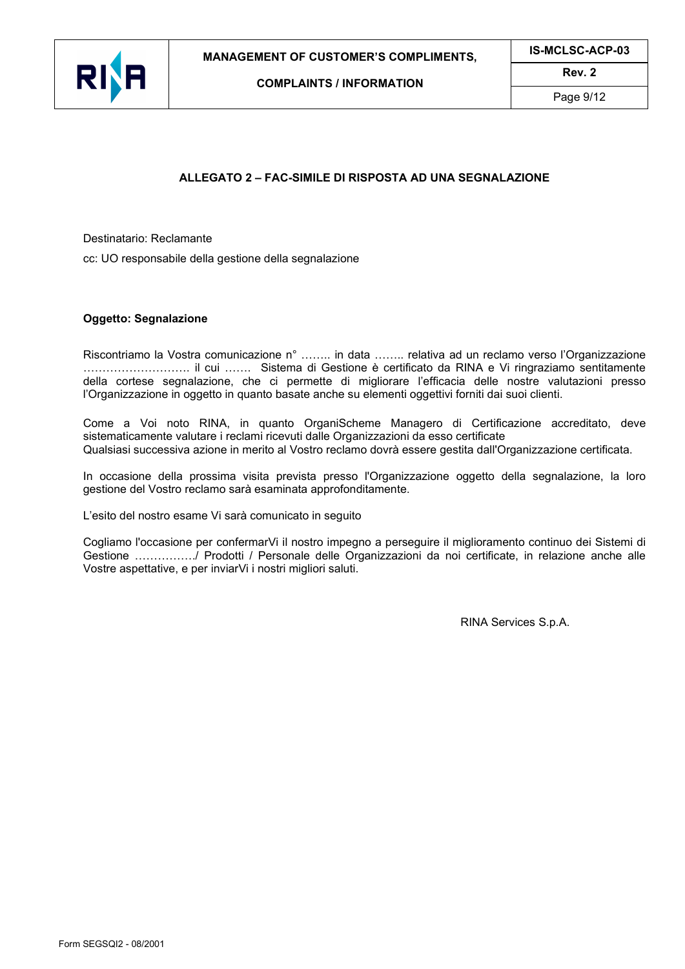



Page  $9/12$ 

# ALLEGATO 2 – FAC-SIMILE DI RISPOSTA AD UNA SEGNALAZIONE

Destinatario: Reclamante

cc: UO responsabile della gestione della segnalazione

#### Oggetto: Segnalazione

Riscontriamo la Vostra comunicazione n° …….. in data …….. relativa ad un reclamo verso l'Organizzazione ………………………. il cui ……. Sistema di Gestione è certificato da RINA e Vi ringraziamo sentitamente della cortese segnalazione, che ci permette di migliorare l'efficacia delle nostre valutazioni presso l'Organizzazione in oggetto in quanto basate anche su elementi oggettivi forniti dai suoi clienti.

Come a Voi noto RINA, in quanto OrganiScheme Managero di Certificazione accreditato, deve sistematicamente valutare i reclami ricevuti dalle Organizzazioni da esso certificate Qualsiasi successiva azione in merito al Vostro reclamo dovrà essere gestita dall'Organizzazione certificata.

In occasione della prossima visita prevista presso l'Organizzazione oggetto della segnalazione, la loro gestione del Vostro reclamo sarà esaminata approfonditamente.

L'esito del nostro esame Vi sarà comunicato in seguito

Cogliamo l'occasione per confermarVi il nostro impegno a perseguire il miglioramento continuo dei Sistemi di Gestione ……………./ Prodotti / Personale delle Organizzazioni da noi certificate, in relazione anche alle Vostre aspettative, e per inviarVi i nostri migliori saluti.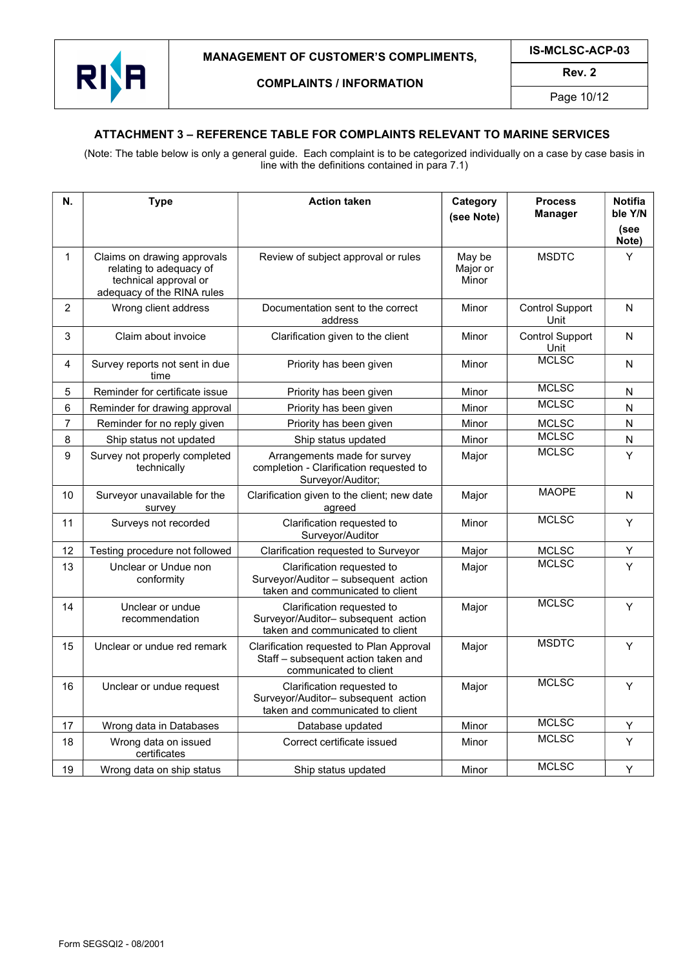

Rev. 2

Page 10/12

## ATTACHMENT 3 – REFERENCE TABLE FOR COMPLAINTS RELEVANT TO MARINE SERVICES

(Note: The table below is only a general guide. Each complaint is to be categorized individually on a case by case basis in line with the definitions contained in para 7.1)

| N.             | <b>Type</b>                                                                                                   | <b>Action taken</b>                                                                                       | Category<br>(see Note)      | <b>Process</b><br><b>Manager</b> | <b>Notifia</b><br>ble Y/N<br>(see<br>Note) |
|----------------|---------------------------------------------------------------------------------------------------------------|-----------------------------------------------------------------------------------------------------------|-----------------------------|----------------------------------|--------------------------------------------|
| 1              | Claims on drawing approvals<br>relating to adequacy of<br>technical approval or<br>adequacy of the RINA rules | Review of subject approval or rules                                                                       | May be<br>Major or<br>Minor | <b>MSDTC</b>                     | Y                                          |
| $\overline{2}$ | Wrong client address                                                                                          | Documentation sent to the correct<br>address                                                              | Minor                       | <b>Control Support</b><br>Unit   | N                                          |
| 3              | Claim about invoice                                                                                           | Clarification given to the client                                                                         | Minor                       | <b>Control Support</b><br>Unit   | N                                          |
| 4              | Survey reports not sent in due<br>time                                                                        | Priority has been given                                                                                   | Minor                       | <b>MCLSC</b>                     | N                                          |
| 5              | Reminder for certificate issue                                                                                | Priority has been given                                                                                   | Minor                       | <b>MCLSC</b>                     | Ν                                          |
| 6              | Reminder for drawing approval                                                                                 | Priority has been given                                                                                   | Minor                       | <b>MCLSC</b>                     | N                                          |
| $\overline{7}$ | Reminder for no reply given                                                                                   | Priority has been given                                                                                   | Minor                       | <b>MCLSC</b>                     | N                                          |
| 8              | Ship status not updated                                                                                       | Ship status updated                                                                                       | Minor                       | <b>MCLSC</b>                     | $\mathsf{N}$                               |
| 9              | Survey not properly completed<br>technically                                                                  | Arrangements made for survey<br>completion - Clarification requested to<br>Surveyor/Auditor;              | Major                       | <b>MCLSC</b>                     | Y                                          |
| 10             | Surveyor unavailable for the<br>survey                                                                        | Clarification given to the client; new date<br>agreed                                                     | Major                       | <b>MAOPE</b>                     | N                                          |
| 11             | Surveys not recorded                                                                                          | Clarification requested to<br>Surveyor/Auditor                                                            | Minor                       | <b>MCLSC</b>                     | Y                                          |
| 12             | Testing procedure not followed                                                                                | Clarification requested to Surveyor                                                                       | Major                       | <b>MCLSC</b>                     | Υ                                          |
| 13             | Unclear or Undue non<br>conformity                                                                            | Clarification requested to<br>Surveyor/Auditor - subsequent action<br>taken and communicated to client    | Major                       | <b>MCLSC</b>                     | Ý                                          |
| 14             | Unclear or undue<br>recommendation                                                                            | Clarification requested to<br>Surveyor/Auditor- subsequent action<br>taken and communicated to client     | Major                       | <b>MCLSC</b>                     | Y                                          |
| 15             | Unclear or undue red remark                                                                                   | Clarification requested to Plan Approval<br>Staff - subsequent action taken and<br>communicated to client | Major                       | <b>MSDTC</b>                     | Y                                          |
| 16             | Unclear or undue request                                                                                      | Clarification requested to<br>Surveyor/Auditor-subsequent action<br>taken and communicated to client      | Major                       | <b>MCLSC</b>                     | Y                                          |
| 17             | Wrong data in Databases                                                                                       | Database updated                                                                                          | Minor                       | <b>MCLSC</b>                     | Υ                                          |
| 18             | Wrong data on issued<br>certificates                                                                          | Correct certificate issued                                                                                | Minor                       | <b>MCLSC</b>                     | Y                                          |
| 19             | Wrong data on ship status                                                                                     | Ship status updated                                                                                       | Minor                       | <b>MCLSC</b>                     | Υ                                          |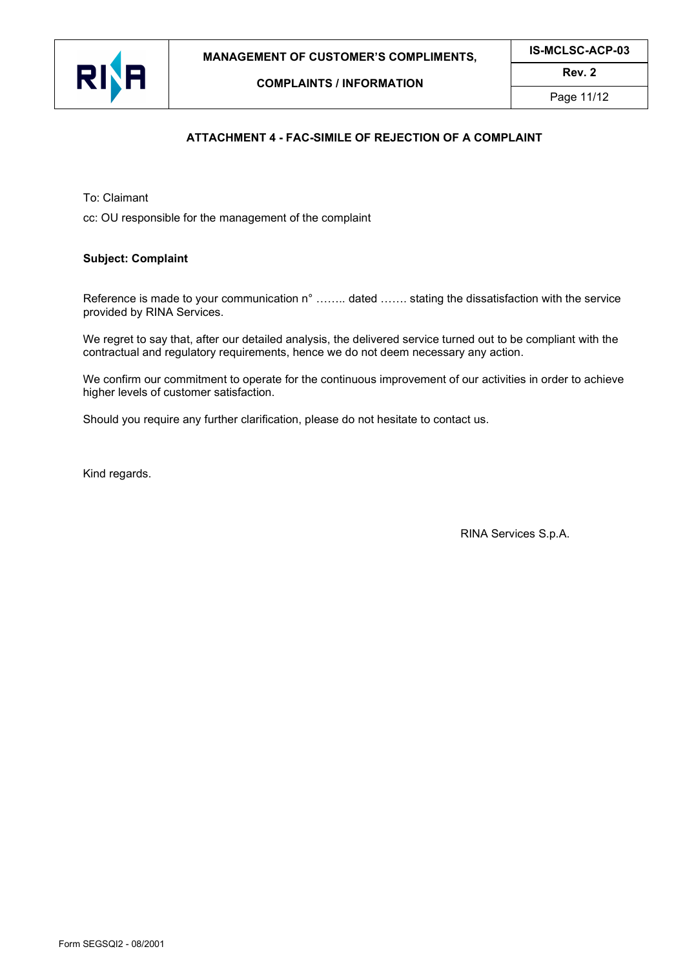

IS-MCLSC-ACP-03 Rev. 2



COMPLAINTS / INFORMATION

Page 11/12

# ATTACHMENT 4 - FAC-SIMILE OF REJECTION OF A COMPLAINT

To: Claimant

cc: OU responsible for the management of the complaint

### Subject: Complaint

Reference is made to your communication n° ........ dated ....... stating the dissatisfaction with the service provided by RINA Services.

We regret to say that, after our detailed analysis, the delivered service turned out to be compliant with the contractual and regulatory requirements, hence we do not deem necessary any action.

We confirm our commitment to operate for the continuous improvement of our activities in order to achieve higher levels of customer satisfaction.

Should you require any further clarification, please do not hesitate to contact us.

Kind regards.